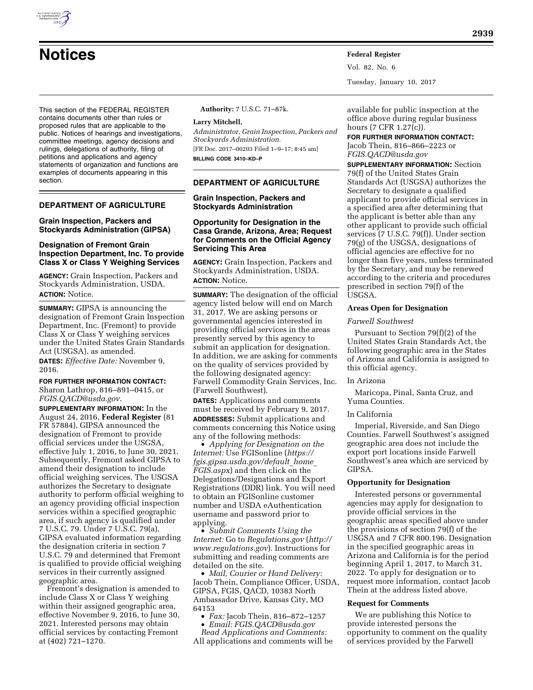

Vol. 82, No. 6 Tuesday, January 10, 2017

This section of the FEDERAL REGISTER contains documents other than rules or proposed rules that are applicable to the public. Notices of hearings and investigations, committee meetings, agency decisions and rulings, delegations of authority, filing of petitions and applications and agency statements of organization and functions are examples of documents appearing in this section.

# **DEPARTMENT OF AGRICULTURE**

# **Grain Inspection, Packers and Stockyards Administration (GIPSA)**

# **Designation of Fremont Grain Inspection Department, Inc. To provide Class X or Class Y Weighing Services**

**AGENCY:** Grain Inspection, Packers and Stockyards Administration, USDA. **ACTION:** Notice.

**SUMMARY:** GIPSA is announcing the designation of Fremont Grain Inspection Department, Inc. (Fremont) to provide Class X or Class Y weighing services under the United States Grain Standards Act (USGSA), as amended.

**DATES:** *Effective Date:* November 9, 2016.

# **FOR FURTHER INFORMATION CONTACT:**

Sharon Lathrop, 816–891–0415, or *[FGIS.QACD@usda.gov](mailto:FGIS.QACD@usda.gov)*.

**SUPPLEMENTARY INFORMATION:** In the August 24, 2016, **Federal Register** (81 FR 57884), GIPSA announced the designation of Fremont to provide official services under the USGSA, effective July 1, 2016, to June 30, 2021. Subsequently, Fremont asked GIPSA to amend their designation to include official weighing services. The USGSA authorizes the Secretary to designate authority to perform official weighing to an agency providing official inspection services within a specified geographic area, if such agency is qualified under 7 U.S.C. 79. Under 7 U.S.C. 79(a), GIPSA evaluated information regarding the designation criteria in section 7 U.S.C. 79 and determined that Fremont is qualified to provide official weighing services in their currently assigned geographic area.

Fremont's designation is amended to include Class X or Class Y weighing within their assigned geographic area, effective November 9, 2016, to June 30, 2021. Interested persons may obtain official services by contacting Fremont at (402) 721–1270.

**Authority:** 7 U.S.C. 71–87k.

### **Larry Mitchell,**

*Administrator, Grain Inspection, Packers and Stockyards Administration.* 

[FR Doc. 2017–00203 Filed 1–9–17; 8:45 am] **BILLING CODE 3410–KD–P** 

## **DEPARTMENT OF AGRICULTURE**

### **Grain Inspection, Packers and Stockyards Administration**

## **Opportunity for Designation in the Casa Grande, Arizona, Area; Request for Comments on the Official Agency Servicing This Area**

**AGENCY:** Grain Inspection, Packers and Stockyards Administration, USDA. **ACTION:** Notice.

**SUMMARY:** The designation of the official agency listed below will end on March 31, 2017. We are asking persons or governmental agencies interested in providing official services in the areas presently served by this agency to submit an application for designation. In addition, we are asking for comments on the quality of services provided by the following designated agency: Farwell Commodity Grain Services, Inc. (Farwell Southwest).

**DATES:** Applications and comments must be received by February 9, 2017. **ADDRESSES:** Submit applications and comments concerning this Notice using any of the following methods:

• *Applying for Designation on the Internet:* Use FGISonline (*[https://](https://fgis.gipsa.usda.gov/default_home_FGIS.aspx) [fgis.gipsa.usda.gov/default](https://fgis.gipsa.usda.gov/default_home_FGIS.aspx)*\_*home*\_ *[FGIS.aspx](https://fgis.gipsa.usda.gov/default_home_FGIS.aspx)*) and then click on the Delegations/Designations and Export Registrations (DDR) link. You will need to obtain an FGISonline customer number and USDA eAuthentication username and password prior to applying.

• *Submit Comments Using the Internet:* Go to *Regulations.gov* (*[http://](http://www.regulations.gov) [www.regulations.gov](http://www.regulations.gov)*). Instructions for submitting and reading comments are detailed on the site.

• *Mail, Courier or Hand Delivery:*  Jacob Thein, Compliance Officer, USDA, GIPSA, FGIS, QACD, 10383 North Ambassador Drive, Kansas City, MO 64153

- *Fax:* Jacob Thein, 816–872–1257
- *Email: [FGIS.QACD@usda.gov](mailto:FGIS.QACD@usda.gov)*

*Read Applications and Comments:*  All applications and comments will be

available for public inspection at the office above during regular business hours (7 CFR 1.27(c)).

**FOR FURTHER INFORMATION CONTACT:**  Jacob Thein, 816–866–2223 or *[FGIS.QACD@usda.gov](mailto:FGIS.QACD@usda.gov)* 

**SUPPLEMENTARY INFORMATION:** Section 79(f) of the United States Grain Standards Act (USGSA) authorizes the Secretary to designate a qualified applicant to provide official services in a specified area after determining that the applicant is better able than any other applicant to provide such official services (7 U.S.C. 79(f)). Under section 79(g) of the USGSA, designations of official agencies are effective for no longer than five years, unless terminated by the Secretary, and may be renewed according to the criteria and procedures prescribed in section 79(f) of the USGSA.

## **Areas Open for Designation**

### *Farwell Southwest*

Pursuant to Section 79(f)(2) of the United States Grain Standards Act, the following geographic area in the States of Arizona and California is assigned to this official agency.

### In Arizona

Maricopa, Pinal, Santa Cruz, and Yuma Counties.

#### In California

Imperial, Riverside, and San Diego Counties. Farwell Southwest's assigned geographic area does not include the export port locations inside Farwell Southwest's area which are serviced by GIPSA.

### **Opportunity for Designation**

Interested persons or governmental agencies may apply for designation to provide official services in the geographic areas specified above under the provisions of section 79(f) of the USGSA and 7 CFR 800.196. Designation in the specified geographic areas in Arizona and California is for the period beginning April 1, 2017, to March 31, 2022. To apply for designation or to request more information, contact Jacob Thein at the address listed above.

#### **Request for Comments**

We are publishing this Notice to provide interested persons the opportunity to comment on the quality of services provided by the Farwell